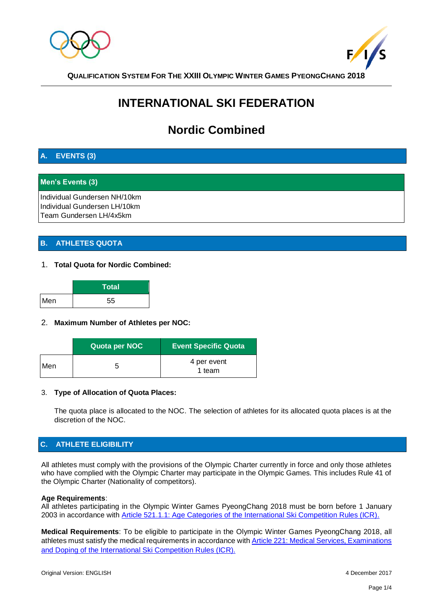



# **INTERNATIONAL SKI FEDERATION**

## **Nordic Combined**

## **A. EVENTS (3)**

## **Men's Events (3)**

Individual Gundersen NH/10km Individual Gundersen LH/10km Team Gundersen LH/4x5km

## **B. ATHLETES QUOTA**

#### 1. **Total Quota for Nordic Combined:**

|     | <b>Total</b> |
|-----|--------------|
| Men | 55           |

#### 2. **Maximum Number of Athletes per NOC:**

|     | Quota per NOC | <b>Event Specific Quota</b> |
|-----|---------------|-----------------------------|
| Men | O             | 4 per event<br>1 team       |

#### 3. **Type of Allocation of Quota Places:**

The quota place is allocated to the NOC. The selection of athletes for its allocated quota places is at the discretion of the NOC.

## **C. ATHLETE ELIGIBILITY**

All athletes must comply with the provisions of the Olympic Charter currently in force and only those athletes who have complied with the Olympic Charter may participate in the Olympic Games. This includes Rule 41 of the Olympic Charter (Nationality of competitors).

#### **Age Requirements**:

All athletes participating in the Olympic Winter Games PyeongChang 2018 must be born before 1 January 2003 in accordance with [Article 521.1.1: Age Categories of the International Ski Competition Rules \(ICR\).](http://www.fis-ski.com/inside-fis/document-library/nordic-combined/index.html#deeplink=rules)

**Medical Requirements**: To be eligible to participate in the Olympic Winter Games PyeongChang 2018, all athletes must satisfy the medical requirements in accordance wit[h Article 221: Medical Services, Examinations](http://www.fis-ski.com/inside-fis/document-library/nordic-combined/index.html#deeplink=rules)  [and Doping of the International Ski Competition Rules \(ICR\).](http://www.fis-ski.com/inside-fis/document-library/nordic-combined/index.html#deeplink=rules)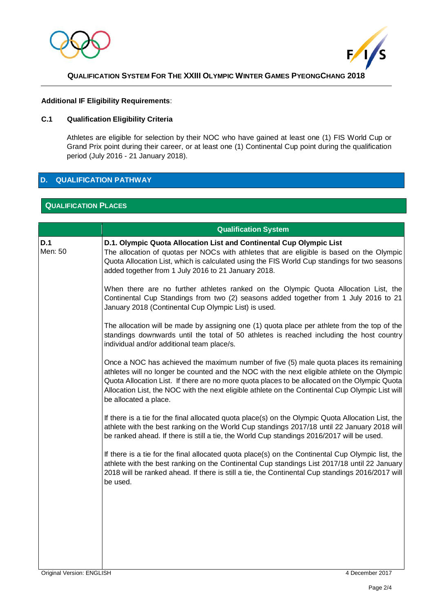



#### **Additional IF Eligibility Requirements**:

## **C.1 Qualification Eligibility Criteria**

Athletes are eligible for selection by their NOC who have gained at least one (1) FIS World Cup or Grand Prix point during their career, or at least one (1) Continental Cup point during the qualification period (July 2016 - 21 January 2018).

## **D. QUALIFICATION PATHWAY**

## **QUALIFICATION PLACES**

|                | <b>Qualification System</b>                                                                                                                                                                                                                                                                                                                                                                                          |  |
|----------------|----------------------------------------------------------------------------------------------------------------------------------------------------------------------------------------------------------------------------------------------------------------------------------------------------------------------------------------------------------------------------------------------------------------------|--|
| D.1<br>Men: 50 | D.1. Olympic Quota Allocation List and Continental Cup Olympic List<br>The allocation of quotas per NOCs with athletes that are eligible is based on the Olympic<br>Quota Allocation List, which is calculated using the FIS World Cup standings for two seasons<br>added together from 1 July 2016 to 21 January 2018.                                                                                              |  |
|                | When there are no further athletes ranked on the Olympic Quota Allocation List, the<br>Continental Cup Standings from two (2) seasons added together from 1 July 2016 to 21<br>January 2018 (Continental Cup Olympic List) is used.                                                                                                                                                                                  |  |
|                | The allocation will be made by assigning one (1) quota place per athlete from the top of the<br>standings downwards until the total of 50 athletes is reached including the host country<br>individual and/or additional team place/s.                                                                                                                                                                               |  |
|                | Once a NOC has achieved the maximum number of five (5) male quota places its remaining<br>athletes will no longer be counted and the NOC with the next eligible athlete on the Olympic<br>Quota Allocation List. If there are no more quota places to be allocated on the Olympic Quota<br>Allocation List, the NOC with the next eligible athlete on the Continental Cup Olympic List will<br>be allocated a place. |  |
|                | If there is a tie for the final allocated quota place(s) on the Olympic Quota Allocation List, the<br>athlete with the best ranking on the World Cup standings 2017/18 until 22 January 2018 will<br>be ranked ahead. If there is still a tie, the World Cup standings 2016/2017 will be used.                                                                                                                       |  |
|                | If there is a tie for the final allocated quota place(s) on the Continental Cup Olympic list, the<br>athlete with the best ranking on the Continental Cup standings List 2017/18 until 22 January<br>2018 will be ranked ahead. If there is still a tie, the Continental Cup standings 2016/2017 will<br>be used.                                                                                                    |  |
|                |                                                                                                                                                                                                                                                                                                                                                                                                                      |  |
|                |                                                                                                                                                                                                                                                                                                                                                                                                                      |  |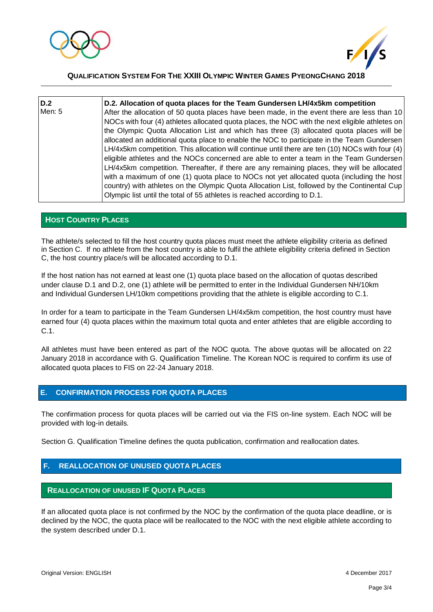



| D.2    | D.2. Allocation of quota places for the Team Gundersen LH/4x5km competition                                                                                                                                                                                                                                                                                                                                                                                                                                                                                                                                                                                                                                                                                                                                                                                                                                                                                   |
|--------|---------------------------------------------------------------------------------------------------------------------------------------------------------------------------------------------------------------------------------------------------------------------------------------------------------------------------------------------------------------------------------------------------------------------------------------------------------------------------------------------------------------------------------------------------------------------------------------------------------------------------------------------------------------------------------------------------------------------------------------------------------------------------------------------------------------------------------------------------------------------------------------------------------------------------------------------------------------|
| Men: 5 | After the allocation of 50 quota places have been made, in the event there are less than 10<br>NOCs with four (4) athletes allocated quota places, the NOC with the next eligible athletes on<br>the Olympic Quota Allocation List and which has three (3) allocated quota places will be<br>allocated an additional quota place to enable the NOC to participate in the Team Gundersen<br>LH/4x5km competition. This allocation will continue until there are ten (10) NOCs with four (4)<br>eligible athletes and the NOCs concerned are able to enter a team in the Team Gundersen<br>LH/4x5km competition. Thereafter, if there are any remaining places, they will be allocated<br>with a maximum of one (1) quota place to NOCs not yet allocated quota (including the host<br>country) with athletes on the Olympic Quota Allocation List, followed by the Continental Cup<br>Olympic list until the total of 55 athletes is reached according to D.1. |

#### **HOST COUNTRY PLACES**

The athlete/s selected to fill the host country quota places must meet the athlete eligibility criteria as defined in Section C. If no athlete from the host country is able to fulfil the athlete eligibility criteria defined in Section C, the host country place/s will be allocated according to D.1.

If the host nation has not earned at least one (1) quota place based on the allocation of quotas described under clause D.1 and D.2, one (1) athlete will be permitted to enter in the Individual Gundersen NH/10km and Individual Gundersen LH/10km competitions providing that the athlete is eligible according to C.1.

In order for a team to participate in the Team Gundersen LH/4x5km competition, the host country must have earned four (4) quota places within the maximum total quota and enter athletes that are eligible according to C.1.

All athletes must have been entered as part of the NOC quota. The above quotas will be allocated on 22 January 2018 in accordance with G. Qualification Timeline. The Korean NOC is required to confirm its use of allocated quota places to FIS on 22-24 January 2018.

#### **E. CONFIRMATION PROCESS FOR QUOTA PLACES**

The confirmation process for quota places will be carried out via the FIS on-line system. Each NOC will be provided with log-in details.

Section G. Qualification Timeline defines the quota publication, confirmation and reallocation dates.

## **F. REALLOCATION OF UNUSED QUOTA PLACES**

#### .**REALLOCATION OF UNUSED IF QUOTA PLACES**

If an allocated quota place is not confirmed by the NOC by the confirmation of the quota place deadline, or is declined by the NOC, the quota place will be reallocated to the NOC with the next eligible athlete according to the system described under D.1.